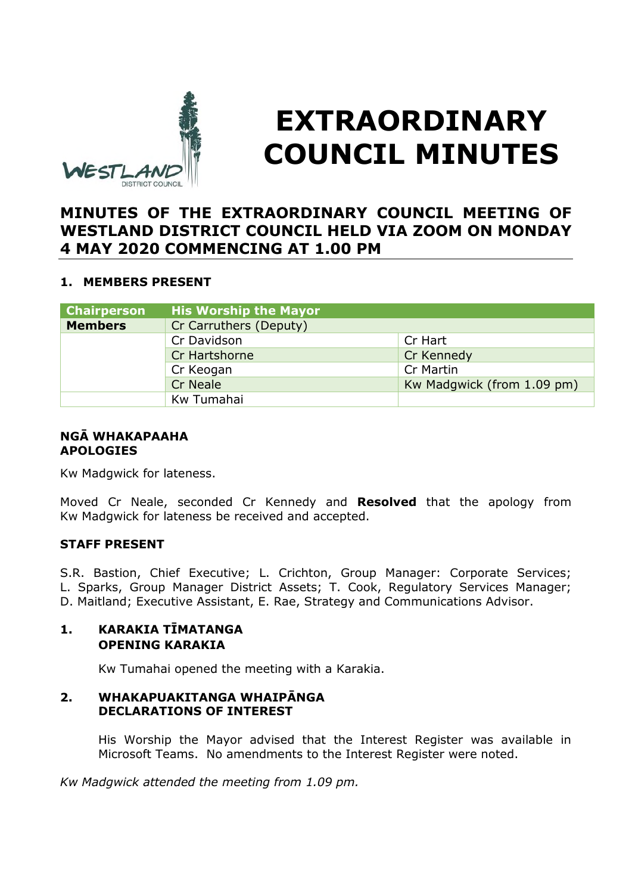

# **EXTRAORDINARY COUNCIL MINUTES**

# **MINUTES OF THE EXTRAORDINARY COUNCIL MEETING OF WESTLAND DISTRICT COUNCIL HELD VIA ZOOM ON MONDAY 4 MAY 2020 COMMENCING AT 1.00 PM**

# **1. MEMBERS PRESENT**

| <b>Chairperson</b> | <b>His Worship the Mayor</b> |                            |
|--------------------|------------------------------|----------------------------|
| <b>Members</b>     | Cr Carruthers (Deputy)       |                            |
|                    | Cr Davidson                  | Cr Hart                    |
|                    | Cr Hartshorne                | Cr Kennedy                 |
|                    | Cr Keogan                    | Cr Martin                  |
|                    | <b>Cr Neale</b>              | Kw Madgwick (from 1.09 pm) |
|                    | Kw Tumahai                   |                            |

# **NGĀ WHAKAPAAHA APOLOGIES**

Kw Madgwick for lateness.

Moved Cr Neale, seconded Cr Kennedy and **Resolved** that the apology from Kw Madgwick for lateness be received and accepted.

# **STAFF PRESENT**

S.R. Bastion, Chief Executive; L. Crichton, Group Manager: Corporate Services; L. Sparks, Group Manager District Assets; T. Cook, Regulatory Services Manager; D. Maitland; Executive Assistant, E. Rae, Strategy and Communications Advisor.

# **1. KARAKIA TĪMATANGA OPENING KARAKIA**

Kw Tumahai opened the meeting with a Karakia.

#### **2. WHAKAPUAKITANGA WHAIPĀNGA DECLARATIONS OF INTEREST**

His Worship the Mayor advised that the Interest Register was available in Microsoft Teams. No amendments to the Interest Register were noted.

*Kw Madgwick attended the meeting from 1.09 pm.*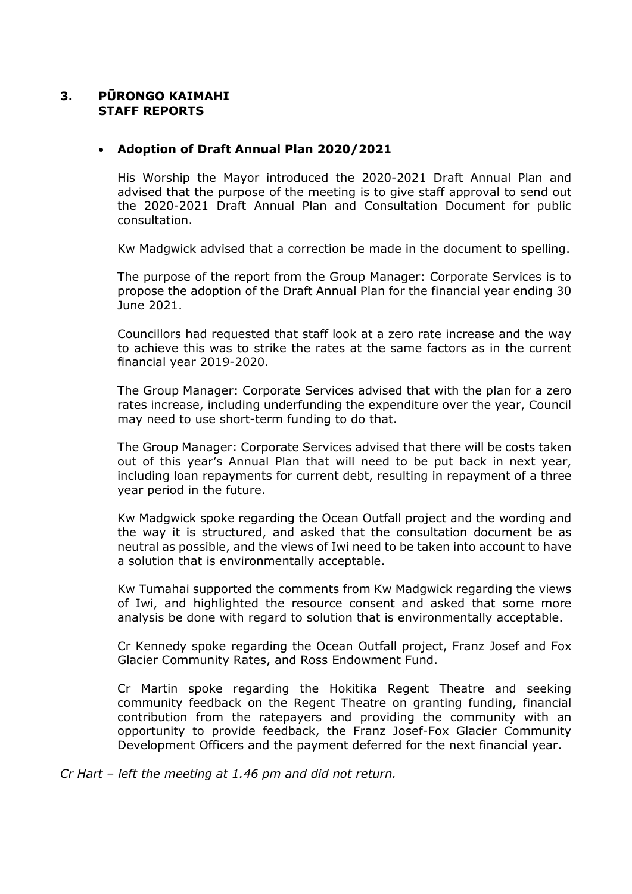# **3. PŪRONGO KAIMAHI STAFF REPORTS**

#### **Adoption of Draft Annual Plan 2020/2021**

His Worship the Mayor introduced the 2020-2021 Draft Annual Plan and advised that the purpose of the meeting is to give staff approval to send out the 2020-2021 Draft Annual Plan and Consultation Document for public consultation.

Kw Madgwick advised that a correction be made in the document to spelling.

The purpose of the report from the Group Manager: Corporate Services is to propose the adoption of the Draft Annual Plan for the financial year ending 30 June 2021.

Councillors had requested that staff look at a zero rate increase and the way to achieve this was to strike the rates at the same factors as in the current financial year 2019-2020.

The Group Manager: Corporate Services advised that with the plan for a zero rates increase, including underfunding the expenditure over the year, Council may need to use short-term funding to do that.

The Group Manager: Corporate Services advised that there will be costs taken out of this year's Annual Plan that will need to be put back in next year, including loan repayments for current debt, resulting in repayment of a three year period in the future.

Kw Madgwick spoke regarding the Ocean Outfall project and the wording and the way it is structured, and asked that the consultation document be as neutral as possible, and the views of Iwi need to be taken into account to have a solution that is environmentally acceptable.

Kw Tumahai supported the comments from Kw Madgwick regarding the views of Iwi, and highlighted the resource consent and asked that some more analysis be done with regard to solution that is environmentally acceptable.

Cr Kennedy spoke regarding the Ocean Outfall project, Franz Josef and Fox Glacier Community Rates, and Ross Endowment Fund.

Cr Martin spoke regarding the Hokitika Regent Theatre and seeking community feedback on the Regent Theatre on granting funding, financial contribution from the ratepayers and providing the community with an opportunity to provide feedback, the Franz Josef-Fox Glacier Community Development Officers and the payment deferred for the next financial year.

*Cr Hart – left the meeting at 1.46 pm and did not return.*